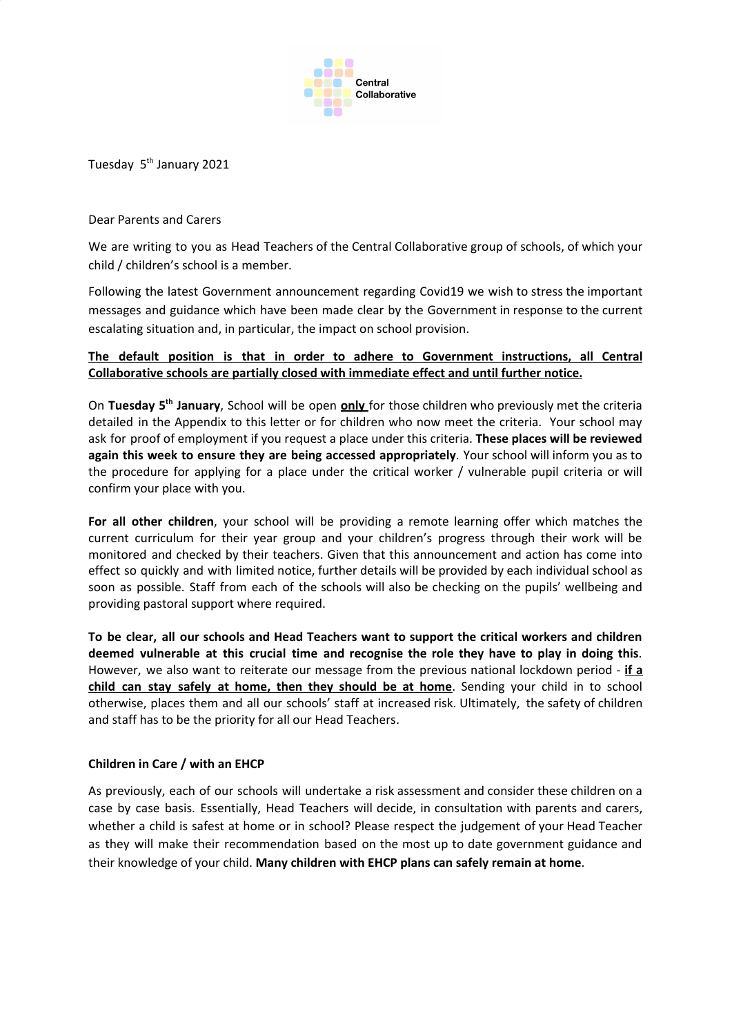

Tuesday 5<sup>th</sup> January 2021

Dear Parents and Carers

We are writing to you as Head Teachers of the Central Collaborative group of schools, of which your child / children's school is a member.

Following the latest Government announcement regarding Covid19 we wish to stress the important messages and guidance which have been made clear by the Government in response to the current escalating situation and, in particular, the impact on school provision.

### **The default position is that in order to adhere to Government instructions, all Central Collaborative schools are partially closed with immediate effect and until further notice.**

On Tuesday 5<sup>th</sup> January, School will be open **only** for those children who previously met the criteria detailed in the Appendix to this letter or for children who now meet the criteria. Your school may ask for proof of employment if you request a place under this criteria. **These places will be reviewed again this week to ensure they are being accessed appropriately**. Your school will inform you as to the procedure for applying for a place under the critical worker / vulnerable pupil criteria or will confirm your place with you.

**For all other children**, your school will be providing a remote learning offer which matches the current curriculum for their year group and your children's progress through their work will be monitored and checked by their teachers. Given that this announcement and action has come into effect so quickly and with limited notice, further details will be provided by each individual school as soon as possible. Staff from each of the schools will also be checking on the pupils' wellbeing and providing pastoral support where required.

**To be clear, all our schools and Head Teachers want to support the critical workers and children deemed vulnerable at this crucial time and recognise the role they have to play in doing this**. However, we also want to reiterate our message from the previous national lockdown period - **if a child can stay safely at home, then they should be at home**. Sending your child in to school otherwise, places them and all our schools' staff at increased risk. Ultimately, the safety of children and staff has to be the priority for all our Head Teachers.

### **Children in Care / with an EHCP**

As previously, each of our schools will undertake a risk assessment and consider these children on a case by case basis. Essentially, Head Teachers will decide, in consultation with parents and carers, whether a child is safest at home or in school? Please respect the judgement of your Head Teacher as they will make their recommendation based on the most up to date government guidance and their knowledge of your child. **Many children with EHCP plans can safely remain at home**.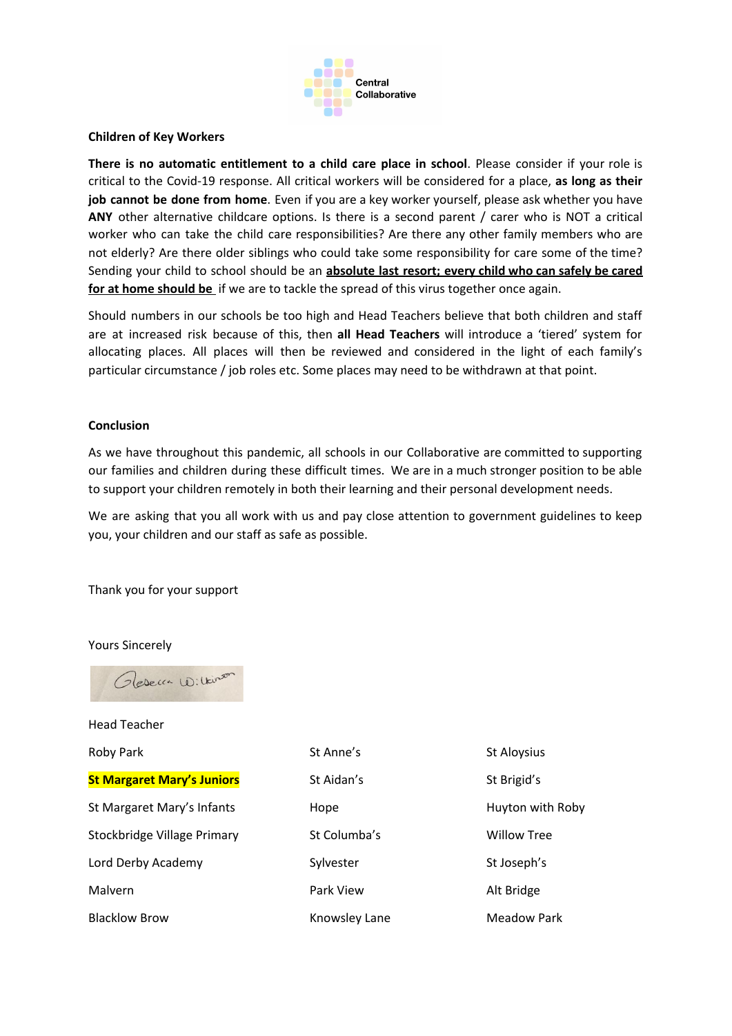

#### **Children of Key Workers**

**There is no automatic entitlement to a child care place in school**. Please consider if your role is critical to the Covid-19 response. All critical workers will be considered for a place, **as long as their job cannot be done from home**. Even if you are a key worker yourself, please ask whether you have **ANY** other alternative childcare options. Is there is a second parent / carer who is NOT a critical worker who can take the child care responsibilities? Are there any other family members who are not elderly? Are there older siblings who could take some responsibility for care some of the time? Sending your child to school should be an **absolute last resort; every child who can safely be cared for at home should be** if we are to tackle the spread of this virus together once again.

Should numbers in our schools be too high and Head Teachers believe that both children and staff are at increased risk because of this, then **all Head Teachers** will introduce a 'tiered' system for allocating places. All places will then be reviewed and considered in the light of each family's particular circumstance / job roles etc. Some places may need to be withdrawn at that point.

#### **Conclusion**

As we have throughout this pandemic, all schools in our Collaborative are committed to supporting our families and children during these difficult times. We are in a much stronger position to be able to support your children remotely in both their learning and their personal development needs.

We are asking that you all work with us and pay close attention to government guidelines to keep you, your children and our staff as safe as possible.

Thank you for your support

Yours Sincerely



Head Teacher

**St Margaret Mary's Juniors** St Aidan's St Brigid's St Brigid's St Margaret Mary's Infants **Hope** Huyton with Roby

Roby Park St Anne's St Anne's St Aloysius Stockbridge Village Primary **St Columba's** Willow Tree Lord Derby Academy The Sylvester Sylvester St Joseph's Malvern **Park View Alt Bridge** 

Blacklow Brow **Knowsley Lane** Meadow Park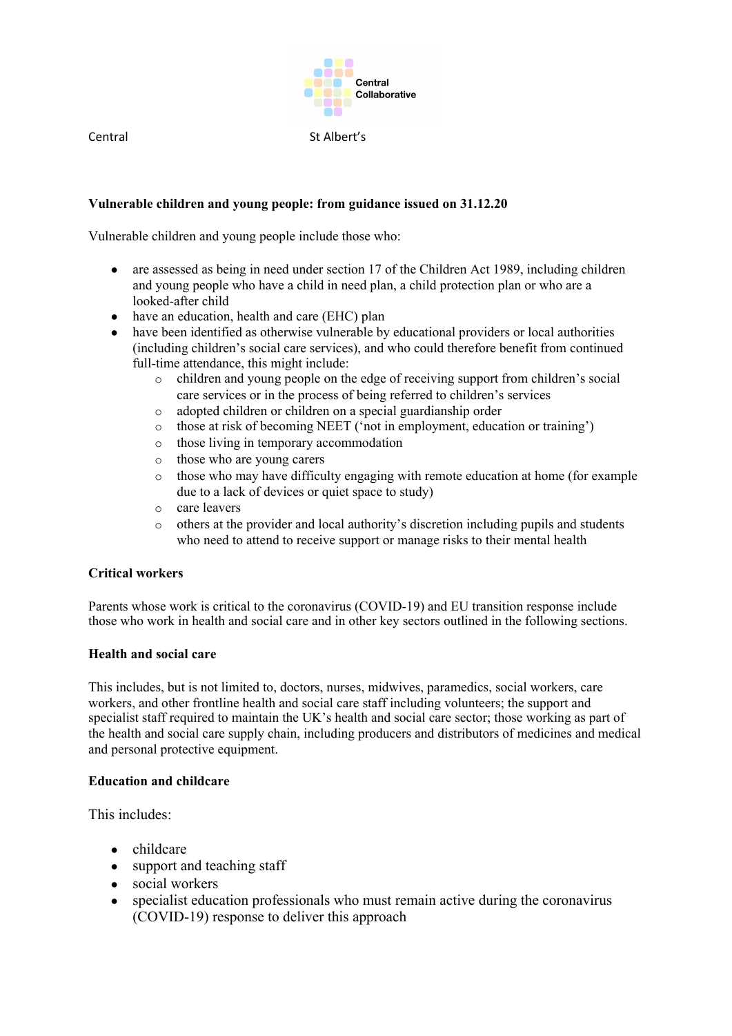

Central St Albert's

## **Vulnerable children and young people: from guidance issued on 31.12.20**

Vulnerable children and young people include those who:

- are assessed as being in need under section 17 of the Children Act 1989, including children and young people who have a child in need plan, a child protection plan or who are a looked-after child
- have an education, health and care (EHC) plan
- have been identified as otherwise vulnerable by educational providers or local authorities (including children's social care services), and who could therefore benefit from continued full-time attendance, this might include:
	- o children and young people on the edge of receiving support from children's social care services or in the process of being referred to children's services
	- adopted children or children on a special guardianship order
	- o those at risk of becoming NEET ('not in employment, education or training')
	- o those living in temporary accommodation
	- o those who are young carers
	- $\circ$  those who may have difficulty engaging with remote education at home (for example due to a lack of devices or quiet space to study)
	- care leavers
	- o others at the provider and local authority's discretion including pupils and students who need to attend to receive support or manage risks to their mental health

### **Critical workers**

Parents whose work is critical to the coronavirus (COVID-19) and EU transition response include those who work in health and social care and in other key sectors outlined in the following sections.

#### **Health and social care**

This includes, but is not limited to, doctors, nurses, midwives, paramedics, social workers, care workers, and other frontline health and social care staff including volunteers; the support and specialist staff required to maintain the UK's health and social care sector; those working as part of the health and social care supply chain, including producers and distributors of medicines and medical and personal protective equipment.

#### **Education and childcare**

This includes:

- childcare
- support and teaching staff
- social workers
- specialist education professionals who must remain active during the coronavirus (COVID-19) response to deliver this approach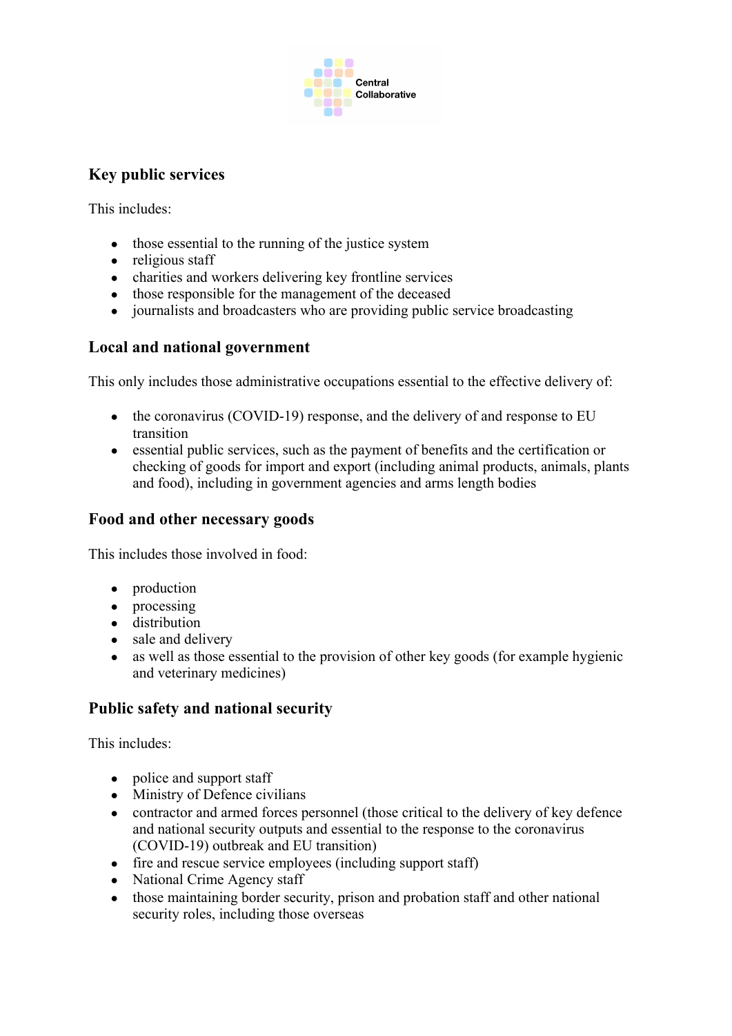

# **Key public services**

This includes:

- those essential to the running of the justice system
- religious staff
- charities and workers delivering key frontline services
- those responsible for the management of the deceased
- journalists and broadcasters who are providing public service broadcasting

# **Local and national government**

This only includes those administrative occupations essential to the effective delivery of:

- the coronavirus (COVID-19) response, and the delivery of and response to EU transition
- essential public services, such as the payment of benefits and the certification or checking of goods for import and export (including animal products, animals, plants and food), including in government agencies and arms length bodies

# **Food and other necessary goods**

This includes those involved in food:

- production
- processing
- distribution
- sale and delivery
- as well as those essential to the provision of other key goods (for example hygienic and veterinary medicines)

# **Public safety and national security**

This includes:

- police and support staff
- Ministry of Defence civilians
- contractor and armed forces personnel (those critical to the delivery of key defence and national security outputs and essential to the response to the coronavirus (COVID-19) outbreak and EU transition)
- fire and rescue service employees (including support staff)
- National Crime Agency staff
- those maintaining border security, prison and probation staff and other national security roles, including those overseas